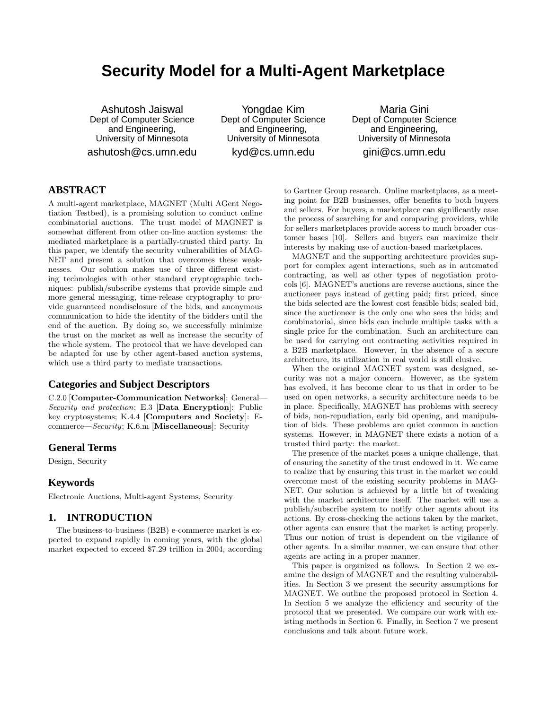# **Security Model for a Multi-Agent Marketplace**

Ashutosh Jaiswal Dept of Computer Science and Engineering, University of Minnesota ashutosh@cs.umn.edu

Yongdae Kim Dept of Computer Science and Engineering, University of Minnesota kyd@cs.umn.edu

Maria Gini Dept of Computer Science and Engineering, University of Minnesota gini@cs.umn.edu

# **ABSTRACT**

A multi-agent marketplace, MAGNET (Multi AGent Negotiation Testbed), is a promising solution to conduct online combinatorial auctions. The trust model of MAGNET is somewhat different from other on-line auction systems: the mediated marketplace is a partially-trusted third party. In this paper, we identify the security vulnerabilities of MAG-NET and present a solution that overcomes these weaknesses. Our solution makes use of three different existing technologies with other standard cryptographic techniques: publish/subscribe systems that provide simple and more general messaging, time-release cryptography to provide guaranteed nondisclosure of the bids, and anonymous communication to hide the identity of the bidders until the end of the auction. By doing so, we successfully minimize the trust on the market as well as increase the security of the whole system. The protocol that we have developed can be adapted for use by other agent-based auction systems, which use a third party to mediate transactions.

# **Categories and Subject Descriptors**

C.2.0 [Computer-Communication Networks]: General— Security and protection; E.3 [Data Encryption]: Public key cryptosystems; K.4.4 [Computers and Society]: Ecommerce—Security; K.6.m [Miscellaneous]: Security

# **General Terms**

Design, Security

# **Keywords**

Electronic Auctions, Multi-agent Systems, Security

# **1. INTRODUCTION**

The business-to-business (B2B) e-commerce market is expected to expand rapidly in coming years, with the global market expected to exceed \$7.29 trillion in 2004, according to Gartner Group research. Online marketplaces, as a meeting point for B2B businesses, offer benefits to both buyers and sellers. For buyers, a marketplace can significantly ease the process of searching for and comparing providers, while for sellers marketplaces provide access to much broader customer bases [10]. Sellers and buyers can maximize their interests by making use of auction-based marketplaces.

MAGNET and the supporting architecture provides support for complex agent interactions, such as in automated contracting, as well as other types of negotiation protocols [6]. MAGNET's auctions are reverse auctions, since the auctioneer pays instead of getting paid; first priced, since the bids selected are the lowest cost feasible bids; sealed bid, since the auctioneer is the only one who sees the bids; and combinatorial, since bids can include multiple tasks with a single price for the combination. Such an architecture can be used for carrying out contracting activities required in a B2B marketplace. However, in the absence of a secure architecture, its utilization in real world is still elusive.

When the original MAGNET system was designed, security was not a major concern. However, as the system has evolved, it has become clear to us that in order to be used on open networks, a security architecture needs to be in place. Specifically, MAGNET has problems with secrecy of bids, non-repudiation, early bid opening, and manipulation of bids. These problems are quiet common in auction systems. However, in MAGNET there exists a notion of a trusted third party: the market.

The presence of the market poses a unique challenge, that of ensuring the sanctity of the trust endowed in it. We came to realize that by ensuring this trust in the market we could overcome most of the existing security problems in MAG-NET. Our solution is achieved by a little bit of tweaking with the market architecture itself. The market will use a publish/subscribe system to notify other agents about its actions. By cross-checking the actions taken by the market, other agents can ensure that the market is acting properly. Thus our notion of trust is dependent on the vigilance of other agents. In a similar manner, we can ensure that other agents are acting in a proper manner.

This paper is organized as follows. In Section 2 we examine the design of MAGNET and the resulting vulnerabilities. In Section 3 we present the security assumptions for MAGNET. We outline the proposed protocol in Section 4. In Section 5 we analyze the efficiency and security of the protocol that we presented. We compare our work with existing methods in Section 6. Finally, in Section 7 we present conclusions and talk about future work.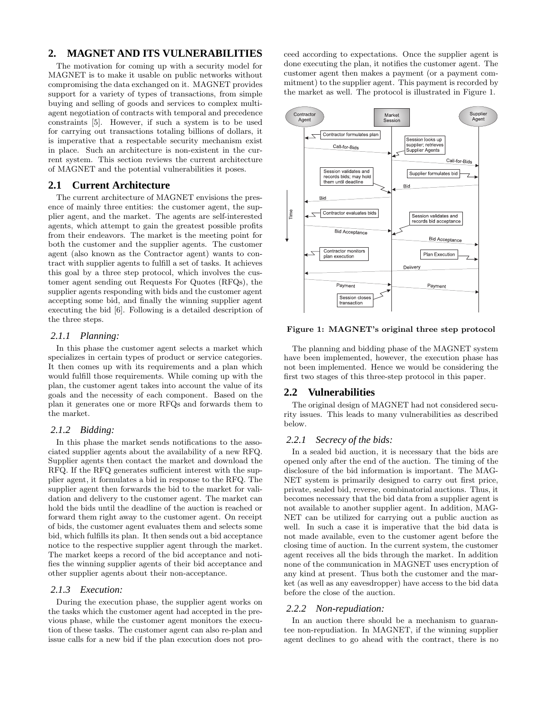# **2. MAGNET AND ITS VULNERABILITIES**

The motivation for coming up with a security model for MAGNET is to make it usable on public networks without compromising the data exchanged on it. MAGNET provides support for a variety of types of transactions, from simple buying and selling of goods and services to complex multiagent negotiation of contracts with temporal and precedence constraints [5]. However, if such a system is to be used for carrying out transactions totaling billions of dollars, it is imperative that a respectable security mechanism exist in place. Such an architecture is non-existent in the current system. This section reviews the current architecture of MAGNET and the potential vulnerabilities it poses.

### **2.1 Current Architecture**

The current architecture of MAGNET envisions the presence of mainly three entities: the customer agent, the supplier agent, and the market. The agents are self-interested agents, which attempt to gain the greatest possible profits from their endeavors. The market is the meeting point for both the customer and the supplier agents. The customer agent (also known as the Contractor agent) wants to contract with supplier agents to fulfill a set of tasks. It achieves this goal by a three step protocol, which involves the customer agent sending out Requests For Quotes (RFQs), the supplier agents responding with bids and the customer agent accepting some bid, and finally the winning supplier agent executing the bid [6]. Following is a detailed description of the three steps.

### *2.1.1 Planning:*

In this phase the customer agent selects a market which specializes in certain types of product or service categories. It then comes up with its requirements and a plan which would fulfill those requirements. While coming up with the plan, the customer agent takes into account the value of its goals and the necessity of each component. Based on the plan it generates one or more RFQs and forwards them to the market.

#### *2.1.2 Bidding:*

In this phase the market sends notifications to the associated supplier agents about the availability of a new RFQ. Supplier agents then contact the market and download the RFQ. If the RFQ generates sufficient interest with the supplier agent, it formulates a bid in response to the RFQ. The supplier agent then forwards the bid to the market for validation and delivery to the customer agent. The market can hold the bids until the deadline of the auction is reached or forward them right away to the customer agent. On receipt of bids, the customer agent evaluates them and selects some bid, which fulfills its plan. It then sends out a bid acceptance notice to the respective supplier agent through the market. The market keeps a record of the bid acceptance and notifies the winning supplier agents of their bid acceptance and other supplier agents about their non-acceptance.

### *2.1.3 Execution:*

During the execution phase, the supplier agent works on the tasks which the customer agent had accepted in the previous phase, while the customer agent monitors the execution of these tasks. The customer agent can also re-plan and issue calls for a new bid if the plan execution does not proceed according to expectations. Once the supplier agent is done executing the plan, it notifies the customer agent. The customer agent then makes a payment (or a payment commitment) to the supplier agent. This payment is recorded by the market as well. The protocol is illustrated in Figure 1.



Figure 1: MAGNET's original three step protocol

The planning and bidding phase of the MAGNET system have been implemented, however, the execution phase has not been implemented. Hence we would be considering the first two stages of this three-step protocol in this paper.

# **2.2 Vulnerabilities**

The original design of MAGNET had not considered security issues. This leads to many vulnerabilities as described below.

### *2.2.1 Secrecy of the bids:*

In a sealed bid auction, it is necessary that the bids are opened only after the end of the auction. The timing of the disclosure of the bid information is important. The MAG-NET system is primarily designed to carry out first price, private, sealed bid, reverse, combinatorial auctions. Thus, it becomes necessary that the bid data from a supplier agent is not available to another supplier agent. In addition, MAG-NET can be utilized for carrying out a public auction as well. In such a case it is imperative that the bid data is not made available, even to the customer agent before the closing time of auction. In the current system, the customer agent receives all the bids through the market. In addition none of the communication in MAGNET uses encryption of any kind at present. Thus both the customer and the market (as well as any eavesdropper) have access to the bid data before the close of the auction.

#### *2.2.2 Non-repudiation:*

In an auction there should be a mechanism to guarantee non-repudiation. In MAGNET, if the winning supplier agent declines to go ahead with the contract, there is no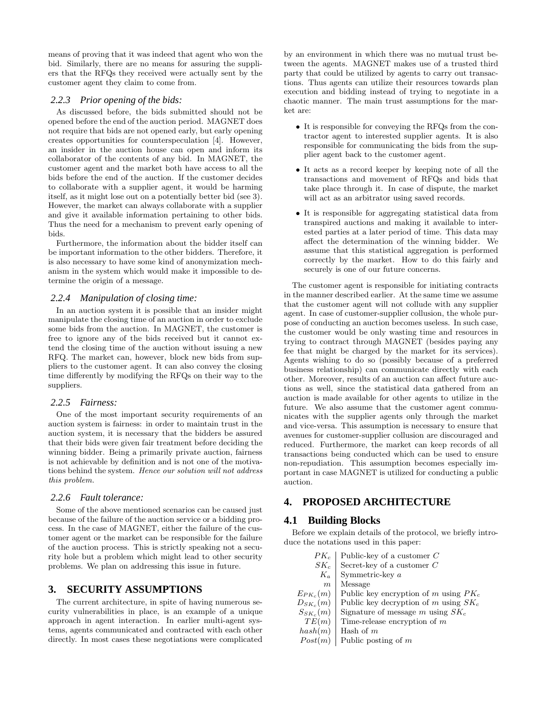means of proving that it was indeed that agent who won the bid. Similarly, there are no means for assuring the suppliers that the RFQs they received were actually sent by the customer agent they claim to come from.

### *2.2.3 Prior opening of the bids:*

As discussed before, the bids submitted should not be opened before the end of the auction period. MAGNET does not require that bids are not opened early, but early opening creates opportunities for counterspeculation [4]. However, an insider in the auction house can open and inform its collaborator of the contents of any bid. In MAGNET, the customer agent and the market both have access to all the bids before the end of the auction. If the customer decides to collaborate with a supplier agent, it would be harming itself, as it might lose out on a potentially better bid (see 3). However, the market can always collaborate with a supplier and give it available information pertaining to other bids. Thus the need for a mechanism to prevent early opening of bids.

Furthermore, the information about the bidder itself can be important information to the other bidders. Therefore, it is also necessary to have some kind of anonymization mechanism in the system which would make it impossible to determine the origin of a message.

### *2.2.4 Manipulation of closing time:*

In an auction system it is possible that an insider might manipulate the closing time of an auction in order to exclude some bids from the auction. In MAGNET, the customer is free to ignore any of the bids received but it cannot extend the closing time of the auction without issuing a new RFQ. The market can, however, block new bids from suppliers to the customer agent. It can also convey the closing time differently by modifying the RFQs on their way to the suppliers.

#### *2.2.5 Fairness:*

One of the most important security requirements of an auction system is fairness: in order to maintain trust in the auction system, it is necessary that the bidders be assured that their bids were given fair treatment before deciding the winning bidder. Being a primarily private auction, fairness is not achievable by definition and is not one of the motivations behind the system. Hence our solution will not address this problem.

# *2.2.6 Fault tolerance:*

Some of the above mentioned scenarios can be caused just because of the failure of the auction service or a bidding process. In the case of MAGNET, either the failure of the customer agent or the market can be responsible for the failure of the auction process. This is strictly speaking not a security hole but a problem which might lead to other security problems. We plan on addressing this issue in future.

# **3. SECURITY ASSUMPTIONS**

The current architecture, in spite of having numerous security vulnerabilities in place, is an example of a unique approach in agent interaction. In earlier multi-agent systems, agents communicated and contracted with each other directly. In most cases these negotiations were complicated

by an environment in which there was no mutual trust between the agents. MAGNET makes use of a trusted third party that could be utilized by agents to carry out transactions. Thus agents can utilize their resources towards plan execution and bidding instead of trying to negotiate in a chaotic manner. The main trust assumptions for the market are:

- It is responsible for conveying the RFQs from the contractor agent to interested supplier agents. It is also responsible for communicating the bids from the supplier agent back to the customer agent.
- It acts as a record keeper by keeping note of all the transactions and movement of RFQs and bids that take place through it. In case of dispute, the market will act as an arbitrator using saved records.
- It is responsible for aggregating statistical data from transpired auctions and making it available to interested parties at a later period of time. This data may affect the determination of the winning bidder. We assume that this statistical aggregation is performed correctly by the market. How to do this fairly and securely is one of our future concerns.

The customer agent is responsible for initiating contracts in the manner described earlier. At the same time we assume that the customer agent will not collude with any supplier agent. In case of customer-supplier collusion, the whole purpose of conducting an auction becomes useless. In such case, the customer would be only wasting time and resources in trying to contract through MAGNET (besides paying any fee that might be charged by the market for its services). Agents wishing to do so (possibly because of a preferred business relationship) can communicate directly with each other. Moreover, results of an auction can affect future auctions as well, since the statistical data gathered from an auction is made available for other agents to utilize in the future. We also assume that the customer agent communicates with the supplier agents only through the market and vice-versa. This assumption is necessary to ensure that avenues for customer-supplier collusion are discouraged and reduced. Furthermore, the market can keep records of all transactions being conducted which can be used to ensure non-repudiation. This assumption becomes especially important in case MAGNET is utilized for conducting a public auction.

# **4. PROPOSED ARCHITECTURE**

# **4.1 Building Blocks**

Before we explain details of the protocol, we briefly introduce the notations used in this paper:

|                  | $PK_c$ Public-key of a customer C                     |
|------------------|-------------------------------------------------------|
|                  | $SK_c$ Secret-key of a customer C                     |
|                  | $K_a$ Symmetric-key a                                 |
| $\boldsymbol{m}$ | Message                                               |
| $E_{PK_c}(m)$    | Public key encryption of m using $PK_c$               |
|                  | $D_{SK_c}(m)$ Public key decryption of m using $SK_c$ |
| $S_{SK_c}(m)$    | Signature of message m using $SK_c$                   |
| TE(m)            | Time-release encryption of $m$                        |
| hash(m)          | Hash of $m$                                           |
| Post(m)          | Public posting of $m$                                 |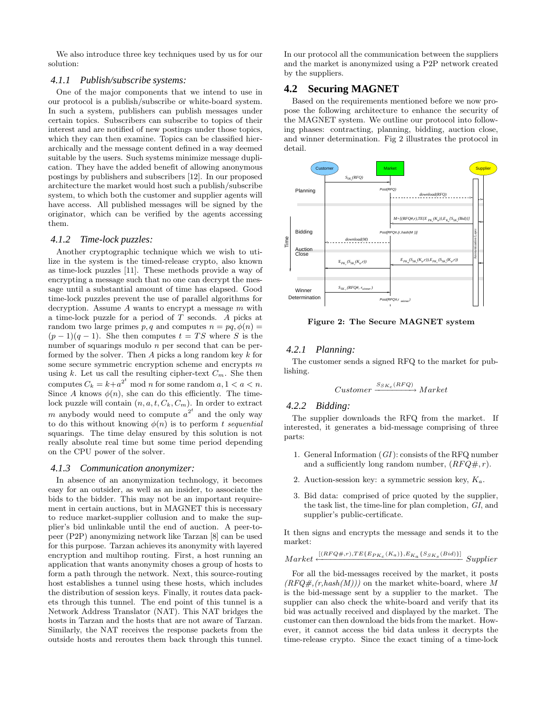We also introduce three key techniques used by us for our solution:

### *4.1.1 Publish/subscribe systems:*

One of the major components that we intend to use in our protocol is a publish/subscribe or white-board system. In such a system, publishers can publish messages under certain topics. Subscribers can subscribe to topics of their interest and are notified of new postings under those topics, which they can then examine. Topics can be classified hierarchically and the message content defined in a way deemed suitable by the users. Such systems minimize message duplication. They have the added benefit of allowing anonymous postings by publishers and subscribers [12]. In our proposed architecture the market would host such a publish/subscribe system, to which both the customer and supplier agents will have access. All published messages will be signed by the originator, which can be verified by the agents accessing them.

#### *4.1.2 Time-lock puzzles:*

Another cryptographic technique which we wish to utilize in the system is the timed-release crypto, also known as time-lock puzzles [11]. These methods provide a way of encrypting a message such that no one can decrypt the message until a substantial amount of time has elapsed. Good time-lock puzzles prevent the use of parallel algorithms for decryption. Assume  $A$  wants to encrypt a message  $m$  with a time-lock puzzle for a period of T seconds. A picks at random two large primes  $p, q$  and computes  $n = pq, \phi(n) =$  $(p-1)(q-1)$ . She then computes  $t = TS$  where S is the number of squarings modulo *n* per second that can be performed by the solver. Then A picks a long random key k for some secure symmetric encryption scheme and encrypts  $m$ using k. Let us call the resulting cipher-text  $C_m$ . She then computes  $C_k = k + a^{2^t} \mod n$  for some random  $a, 1 < a < n$ . Since A knows  $\phi(n)$ , she can do this efficiently. The timelock puzzle will contain  $(n, a, t, C_k, C_m)$ . In order to extract m anybody would need to compute  $a^{2^t}$  and the only way to do this without knowing  $\phi(n)$  is to perform t sequential squarings. The time delay ensured by this solution is not really absolute real time but some time period depending on the CPU power of the solver.

### *4.1.3 Communication anonymizer:*

In absence of an anonymization technology, it becomes easy for an outsider, as well as an insider, to associate the bids to the bidder. This may not be an important requirement in certain auctions, but in MAGNET this is necessary to reduce market-supplier collusion and to make the supplier's bid unlinkable until the end of auction. A peer-topeer (P2P) anonymizing network like Tarzan [8] can be used for this purpose. Tarzan achieves its anonymity with layered encryption and multihop routing. First, a host running an application that wants anonymity choses a group of hosts to form a path through the network. Next, this source-routing host establishes a tunnel using these hosts, which includes the distribution of session keys. Finally, it routes data packets through this tunnel. The end point of this tunnel is a Network Address Translator (NAT). This NAT bridges the hosts in Tarzan and the hosts that are not aware of Tarzan. Similarly, the NAT receives the response packets from the outside hosts and reroutes them back through this tunnel.

In our protocol all the communication between the suppliers and the market is anonymized using a P2P network created by the suppliers.

# **4.2 Securing MAGNET**

Based on the requirements mentioned before we now propose the following architecture to enhance the security of the MAGNET system. We outline our protocol into following phases: contracting, planning, bidding, auction close, and winner determination. Fig 2 illustrates the protocol in detail.



Figure 2: The Secure MAGNET system

### *4.2.1 Planning:*

The customer sends a signed RFQ to the market for publishing.

$$
Customer \xrightarrow{S_{SK_c}(RFQ)} Market
$$

# *4.2.2 Bidding:*

The supplier downloads the RFQ from the market. If interested, it generates a bid-message comprising of three parts:

- 1. General Information  $(GI)$ : consists of the RFQ number and a sufficiently long random number,  $(RFQ\#, r)$ .
- 2. Auction-session key: a symmetric session key,  $K_a$ .
- 3. Bid data: comprised of price quoted by the supplier, the task list, the time-line for plan completion, GI, and supplier's public-certificate.

It then signs and encrypts the message and sends it to the market:

$$
Market \leftarrow^{\left[\left(RFQ\#,r\right),TE\left\{E_{PK_c}\left(K_a\right)\right\},E_{K_a}\left\{S_{SK_s}\left(Bid\right)\right\}\right]} \text{Supplier}
$$

For all the bid-messages received by the market, it posts  $(RFQ\#,(r,hash(M)))$  on the market white-board, where M is the bid-message sent by a supplier to the market. The supplier can also check the white-board and verify that its bid was actually received and displayed by the market. The customer can then download the bids from the market. However, it cannot access the bid data unless it decrypts the time-release crypto. Since the exact timing of a time-lock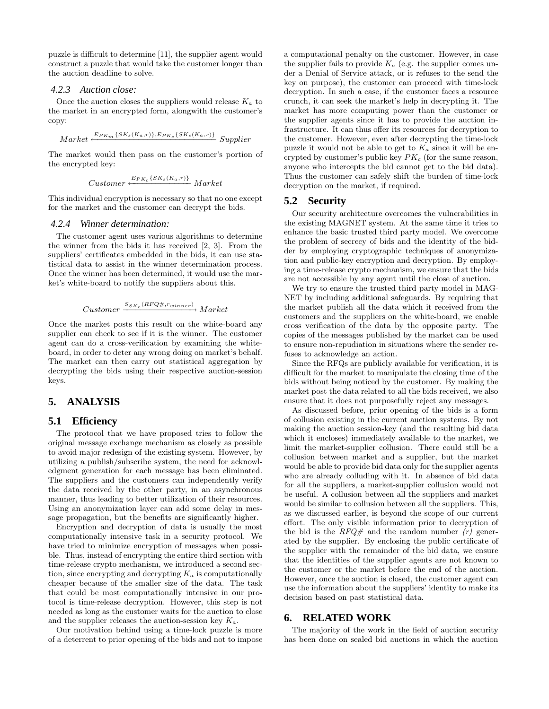puzzle is difficult to determine [11], the supplier agent would construct a puzzle that would take the customer longer than the auction deadline to solve.

### *4.2.3 Auction close:*

Once the auction closes the suppliers would release  $K_a$  to the market in an encrypted form, alongwith the customer's copy:

$$
Market \xleftarrow{E_{PK_m} \{SK_s(K_a, r)\}, E_{PK_c} \{SK_s(K_a, r)\}} \text{Supplier}
$$

The market would then pass on the customer's portion of the encrypted key:

$$
Customer \xleftarrow{E_{PK_c} \{SK_s(K_a, r)\}} Market
$$

This individual encryption is necessary so that no one except for the market and the customer can decrypt the bids.

#### *4.2.4 Winner determination:*

The customer agent uses various algorithms to determine the winner from the bids it has received [2, 3]. From the suppliers' certificates embedded in the bids, it can use statistical data to assist in the winner determination process. Once the winner has been determined, it would use the market's white-board to notify the suppliers about this.

$$
Customer \xrightarrow{S_{SK_c}(RFQ\#,r_{winner})} Market
$$

Once the market posts this result on the white-board any supplier can check to see if it is the winner. The customer agent can do a cross-verification by examining the whiteboard, in order to deter any wrong doing on market's behalf. The market can then carry out statistical aggregation by decrypting the bids using their respective auction-session keys.

# **5. ANALYSIS**

# **5.1 Efficiency**

The protocol that we have proposed tries to follow the original message exchange mechanism as closely as possible to avoid major redesign of the existing system. However, by utilizing a publish/subscribe system, the need for acknowledgment generation for each message has been eliminated. The suppliers and the customers can independently verify the data received by the other party, in an asynchronous manner, thus leading to better utilization of their resources. Using an anonymization layer can add some delay in message propagation, but the benefits are significantly higher.

Encryption and decryption of data is usually the most computationally intensive task in a security protocol. We have tried to minimize encryption of messages when possible. Thus, instead of encrypting the entire third section with time-release crypto mechanism, we introduced a second section, since encrypting and decrypting  $K_a$  is computationally cheaper because of the smaller size of the data. The task that could be most computationally intensive in our protocol is time-release decryption. However, this step is not needed as long as the customer waits for the auction to close and the supplier releases the auction-session key  $K_a$ .

Our motivation behind using a time-lock puzzle is more of a deterrent to prior opening of the bids and not to impose a computational penalty on the customer. However, in case the supplier fails to provide  $K_a$  (e.g. the supplier comes under a Denial of Service attack, or it refuses to the send the key on purpose), the customer can proceed with time-lock decryption. In such a case, if the customer faces a resource crunch, it can seek the market's help in decrypting it. The market has more computing power than the customer or the supplier agents since it has to provide the auction infrastructure. It can thus offer its resources for decryption to the customer. However, even after decrypting the time-lock puzzle it would not be able to get to  $K_a$  since it will be encrypted by customer's public key  $PK_c$  (for the same reason, anyone who intercepts the bid cannot get to the bid data). Thus the customer can safely shift the burden of time-lock decryption on the market, if required.

# **5.2 Security**

Our security architecture overcomes the vulnerabilities in the existing MAGNET system. At the same time it tries to enhance the basic trusted third party model. We overcome the problem of secrecy of bids and the identity of the bidder by employing cryptographic techniques of anonymization and public-key encryption and decryption. By employing a time-release crypto mechanism, we ensure that the bids are not accessible by any agent until the close of auction.

We try to ensure the trusted third party model in MAG-NET by including additional safeguards. By requiring that the market publish all the data which it received from the customers and the suppliers on the white-board, we enable cross verification of the data by the opposite party. The copies of the messages published by the market can be used to ensure non-repudiation in situations where the sender refuses to acknowledge an action.

Since the RFQs are publicly available for verification, it is difficult for the market to manipulate the closing time of the bids without being noticed by the customer. By making the market post the data related to all the bids received, we also ensure that it does not purposefully reject any messages.

As discussed before, prior opening of the bids is a form of collusion existing in the current auction systems. By not making the auction session-key (and the resulting bid data which it encloses) immediately available to the market, we limit the market-supplier collusion. There could still be a collusion between market and a supplier, but the market would be able to provide bid data only for the supplier agents who are already colluding with it. In absence of bid data for all the suppliers, a market-supplier collusion would not be useful. A collusion between all the suppliers and market would be similar to collusion between all the suppliers. This, as we discussed earlier, is beyond the scope of our current effort. The only visible information prior to decryption of the bid is the  $RFQ\#$  and the random number (r) generated by the supplier. By enclosing the public certificate of the supplier with the remainder of the bid data, we ensure that the identities of the supplier agents are not known to the customer or the market before the end of the auction. However, once the auction is closed, the customer agent can use the information about the suppliers' identity to make its decision based on past statistical data.

# **6. RELATED WORK**

The majority of the work in the field of auction security has been done on sealed bid auctions in which the auction